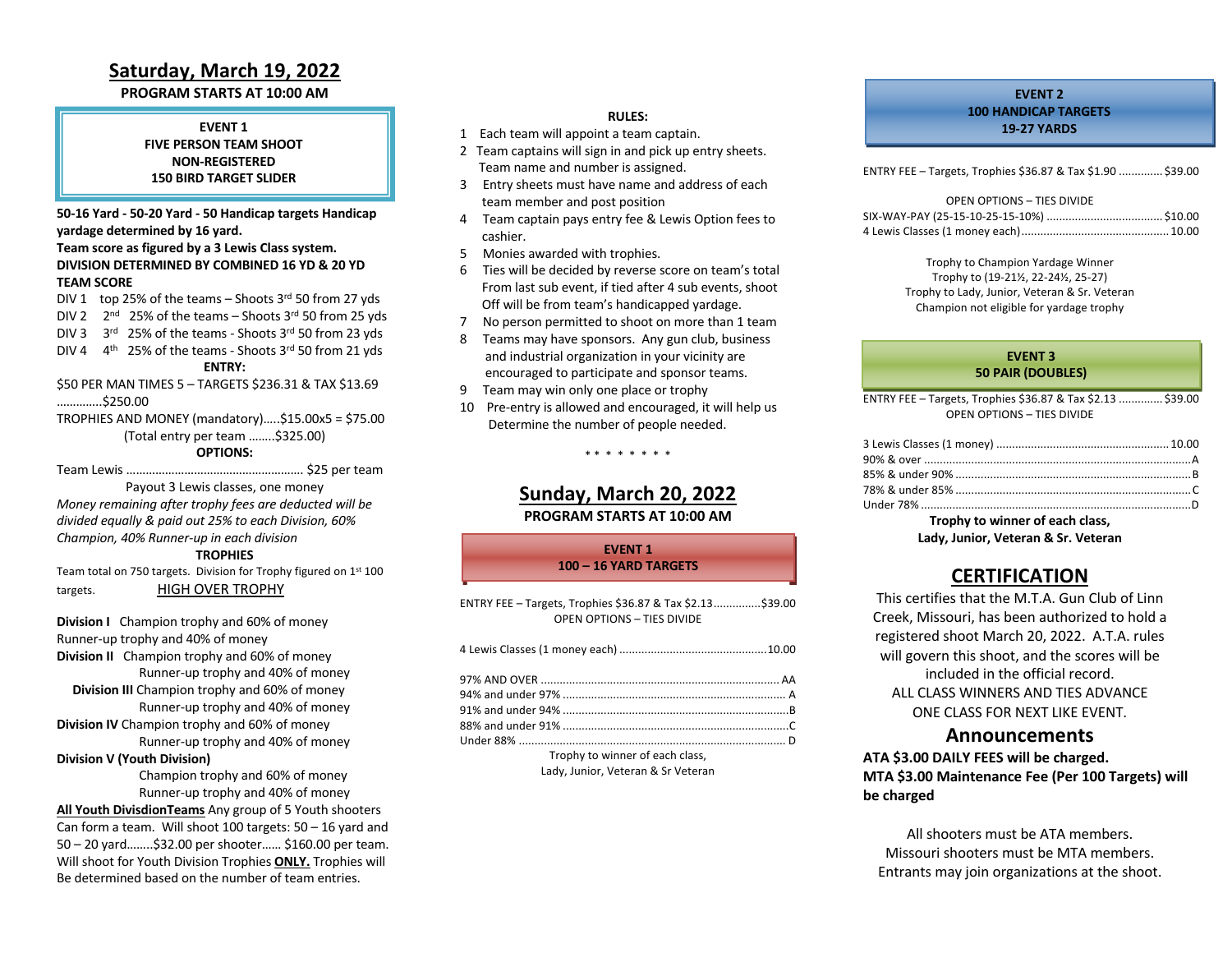## **Saturday, March 19, 2022**

#### **PROGRAM STARTS AT 10:00 AM**

**EVENT 1 FIVE PERSON TEAM SHOOT NON-REGISTERED 150 BIRD TARGET SLIDER**

**50-16 Yard - 50-20 Yard - 50 Handicap targets Handicap yardage determined by 16 yard.**

#### **Team score as figured by a 3 Lewis Class system. DIVISION DETERMINED BY COMBINED 16 YD & 20 YD TEAM SCORE**

DIV 1 top 25% of the teams – Shoots  $3<sup>rd</sup>$  50 from 27 yds

- DIV 2  $2^{nd}$  25% of the teams Shoots 3rd 50 from 25 yds
- DIV 3 3rd 25% of the teams Shoots 3rd 50 from 23 yds
- DIV 4  $4<sup>th</sup>$  25% of the teams Shoots 3rd 50 from 21 yds

#### **ENTRY:**

\$50 PER MAN TIMES 5 – TARGETS \$236.31 & TAX \$13.69 …………..\$250.00

TROPHIES AND MONEY (mandatory)…..\$15.00x5 = \$75.00 (Total entry per team ……..\$325.00)

#### **OPTIONS:**

Team Lewis ………………………………………………. \$25 per team

Payout 3 Lewis classes, one money *Money remaining after trophy fees are deducted will be divided equally & paid out 25% to each Division, 60% Champion, 40% Runner-up in each division*

#### **TROPHIES**

Team total on 750 targets. Division for Trophy figured on 1st 100 targets. HIGH OVER TROPHY

**Division I** Champion trophy and 60% of money Runner-up trophy and 40% of money **Division II** Champion trophy and 60% of money Runner-up trophy and 40% of money  **Division III** Champion trophy and 60% of money Runner-up trophy and 40% of money **Division IV** Champion trophy and 60% of money Runner-up trophy and 40% of money

#### **Division V (Youth Division)**

 Champion trophy and 60% of money Runner-up trophy and 40% of money **All Youth DivisdionTeams** Any group of 5 Youth shooters Can form a team. Will shoot 100 targets: 50 – 16 yard and 50 – 20 yard……..\$32.00 per shooter…… \$160.00 per team. Will shoot for Youth Division Trophies **ONLY.** Trophies will Be determined based on the number of team entries.

#### **RULES:**

- 1 Each team will appoint a team captain.
- 2 Team captains will sign in and pick up entry sheets. Team name and number is assigned.
- 3 Entry sheets must have name and address of each team member and post position
- 4 Team captain pays entry fee & Lewis Option fees to cashier.
- 5 Monies awarded with trophies.
- 6 Ties will be decided by reverse score on team's total From last sub event, if tied after 4 sub events, shoot Off will be from team's handicapped yardage.
- 7 No person permitted to shoot on more than 1 team
- 8 Teams may have sponsors. Any gun club, business and industrial organization in your vicinity are encouraged to participate and sponsor teams.
- 9 Team may win only one place or trophy
- 10 Pre-entry is allowed and encouraged, it will help us Determine the number of people needed.

### **Sunday, March 20, 2022 PROGRAM STARTS AT 10:00 AM**

\* \* \* \* \* \* \* \*

**EVENT 1 100 – 16 YARD TARGETS**

| ENTRY FEE - Targets, Trophies \$36.87 & Tax \$2.13\$39.00<br><b>OPEN OPTIONS - TIES DIVIDE</b> |  |
|------------------------------------------------------------------------------------------------|--|
|                                                                                                |  |
|                                                                                                |  |
|                                                                                                |  |
|                                                                                                |  |
|                                                                                                |  |
|                                                                                                |  |
| Trophy to winner of each class,                                                                |  |

Lady, Junior, Veteran & Sr Veteran

#### **EVENT 2 100 HANDICAP TARGETS 19-27 YARDS**

ENTRY FEE – Targets, Trophies \$36.87 & Tax \$1.90 .............. \$39.00

| OPEN OPTIONS - TIES DIVIDE |  |
|----------------------------|--|
|                            |  |
|                            |  |

Trophy to Champion Yardage Winner Trophy to (19-21½, 22-24½, 25-27) Trophy to Lady, Junior, Veteran & Sr. Veteran Champion not eligible for yardage trophy

#### **EVENT 3 50 PAIR (DOUBLES)**

ENTRY FEE – Targets, Trophies \$36.87 & Tax \$2.13 .............. \$39.00 OPEN OPTIONS – TIES DIVIDE

**Trophy to winner of each class, Lady, Junior, Veteran & Sr. Veteran**

## **CERTIFICATION**

This certifies that the M.T.A. Gun Club of Linn Creek, Missouri, has been authorized to hold a registered shoot March 20, 2022. A.T.A. rules will govern this shoot, and the scores will be included in the official record. ALL CLASS WINNERS AND TIES ADVANCE ONE CLASS FOR NEXT LIKE EVENT.

#### **Announcements**

**ATA \$3.00 DAILY FEES will be charged. MTA \$3.00 Maintenance Fee (Per 100 Targets) will be charged** 

All shooters must be ATA members. Missouri shooters must be MTA members. Entrants may join organizations at the shoot.